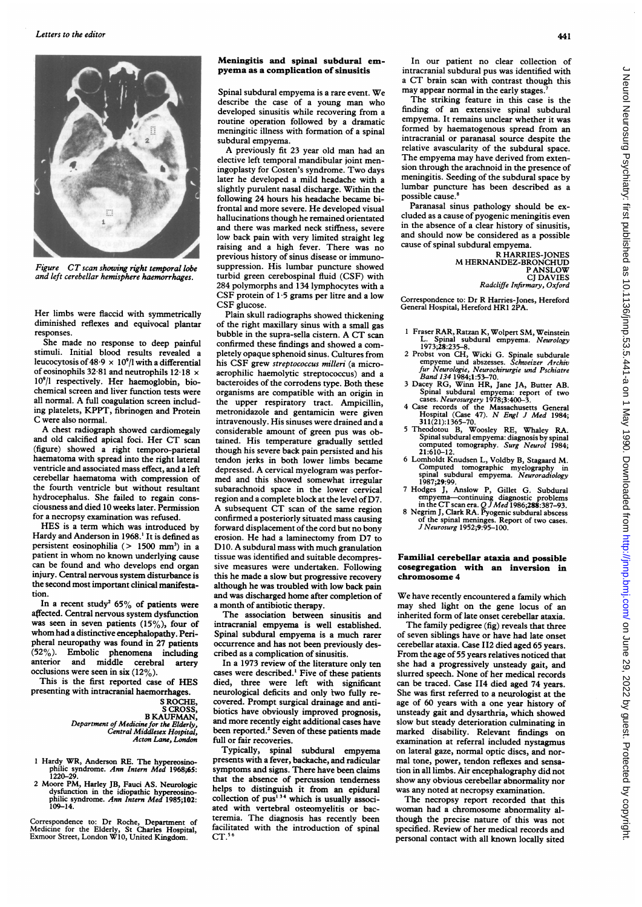

Figure CT scan showing right temporal lobe and left cerebellar hemisphere haemorrhages.

Her limbs were flaccid with symmetrically diminished reflexes and equivocal plantar responses.

She made no response to deep painful stimuli. Initial blood results revealed a leucocytosis of  $48.9 \times 10^{9}$ /l with a differential of eosinophils 32-81 and neutrophils 12-18 x 109/l respectively. Her haemoglobin, biochemical screen and liver function tests were all normal. A full coagulation screen including platelets, KPPT, fibrinogen and Protein C were also normal.

A chest radiograph showed cardiomegaly and old calcified apical foci. Her CT scan (figure) showed a right temporo-parietal haematoma with spread into the right lateral ventricle and associated mass effect, and a left cerebellar haematoma with compression of the fourth ventricle but without resultant hydrocephalus. She failed to regain consciousness and died 10 weeks later. Permission for a necropsy examination was refused.

HES is <sup>a</sup> term which was introduced by Hardy and Anderson in 1968.' It is defined as persistent eosinophilia ( $> 1500$  mm<sup>3</sup>) in a patient in whom no known underlying cause can be found and who develops end organ injury. Central nervous system disturbance is the second most important clinical manifestation.

In a recent study<sup>2</sup> 65% of patients were affected. Central nervous system dysfinction was seen in seven patients (15%), four of whom had <sup>a</sup> distinctive encephalopathy. Peripheral neuropathy was found in 27 patients (52%). Embolic phenomena including anterior and middle cerebral artery occlusions were seen in six  $(12\%)$ .

This is the first reported case of HES presenting with intracranial haemorrhages.

S ROCHE, S CROSS, B KAUFMAN, Department of Medicine for the Elderly, Central Middlesex Hospital, Acton Lane, London

- <sup>1</sup> Hardy WR, Anderson RE. The hypereosinophilic syndrome. *Ann Intern Med* 1968;65:<br>1220–29.
- 2 Moore PM, Harley JB, Fauci AS. Neurologic dysfunction in the idiopathic hypereosino-<br>philic syndrome. Ann Intern Med 1985;102:<br>109–14.

Correspondence to: Dr Roche, Department of Medicine for the Elderly, St Charles Hospital, Exmoor Street, London W1O, United Kingdom.

## Meningitis and spinal subdural empyema as a complication of sinusitis

Spinal subdural empyema is <sup>a</sup> rare event. We describe the case of <sup>a</sup> young man who developed sinusitis while recovering from a routine operation followed by a dramatic meningitic illness with formation of a spinal subdural empyema.

A previously fit <sup>23</sup> year old man had an elective left temporal mandibular joint meningoplasty for Costen's syndrome. Two days later he developed a mild headache with a slightly purulent nasal discharge. Within the following 24 hours his headache became bifrontal and more severe. He developed visual hallucinations though he remained orientated and there was marked neck stiffness, severe low back pain with very limited straight leg raising and a high fever. There was no previous history of sinus disease or immunosuppression. His lumbar puncture showed turbid green cerebospinal fluid (CSF) with 284 polymorphs and 134 lymphocytes with a CSF protein of 1-5 grams per litre and <sup>a</sup> low CSF glucose.

Plain skull radiographs showed thickening of the right maxillary sinus with a small gas bubble in the supra-sella cistern. A CT scan confirmed these findings and showed a completely opaque sphenoid sinus. Cultures from his CSF grew streptococcus milleri (a microaerophilic haemolytic streptococcus) and a bacteroides of the corrodens type. Both these organisms are compatible with an origin in the upper respiratory tract. Ampicillin, metronidazole and gentamicin were given intravenously. His sinuses were drained and a considerable amount of green pus was obtained. His temperature gradually settled though his severe back pain persisted and his tendon jerks in both lower limbs became depressed. A cervical myelogram was performed and this showed somewhat irregular subarachnoid space in the lower cervical region and a complete block at the level of D7. A subsequent CT scan of the same region confirmed <sup>a</sup> posteriorly situated mass causing forward displacement of the cord but no bony erosion. He had <sup>a</sup> laminectomy from D7 to D10. A subdural mass with much granulation tissue was identified and suitable decompressive measures were undertaken. Following this he made <sup>a</sup> slow but progressive recovery although he was troubled with low back pain and was discharged home after completion of a month of antibiotic therapy.

The association between sinusitis and intracranial empyema is well established. Spinal subdural empyema is a much rarer occurrence and has not been previously described as a complication of sinusitis.

In a 1973 review of the literature only ten cases were described.' Five of these patients died, three were left with significant neurological deficits and only two fully recovered. Prompt surgical drainage and antibiotics have obviously improved prognosis, and more recently eight additional cases have been reported.<sup>2</sup> Seven of these patients made full or fair recoveries.

Typically, spinal subdural empyema presents with a fever, backache, and radicular symptoms and signs. There have been claims that the absence of percussion tenderness helps to distinguish it from an epidural collection of pus'34 which is usually associated with vertebral osteomyelitis or bacteremia. The diagnosis has recently been facilitated with the introduction of spinal  $CT.^56$ 

In our patient no clear collection of intracranial subdural pus was identified with <sup>a</sup> CT brain scan with contrast though this may appear normal in the early stages.

The striking feature in this case is the finding of an extensive spinal subdural empyema. It remains unclear whether it was formed by haematogenous spread from an intracranial or paranasal source despite the relative avascularity of the subdural space. The empyema may have derived from extension through the arachnoid in the presence of meningitis. Seeding of the subdural space by lumbar puncture has been described as a possible cause.<sup>8</sup>

Paranasal sinus pathology should be excluded as a cause of pyogenic meningitis even in the absence of a clear history of sinusitis, and should now be considered as <sup>a</sup> possible cause of spinal subdural empyema.

R HARRIES-JONES M HERNANDEZ-BRONCHUD P ANSLOW CJ DAVIES Radcliffe Infirmary, Oxford

Correspondence to: Dr R Harries-Jones, Hereford General Hospital, Hereford HR1 2PA.

- <sup>1</sup> Fraser RAR, Ratzan K, Wolpert SM, Weinstein
- L. Spinal subdural empyema. Neurology<br>
1973;28:235-8.<br>
2 Probst von CH, Wicki G. Spinale subdurale<br>
empyeme und abszesses. *Schweizer Archiv*<br> *fur Neurologie, Neurochirurgie und Pschiatre*<br>
Band 134 1984;1:53-70.
- <sup>3</sup> Dacey RG, Winn HR, Jane JA, Butter AB. Spinal subdural empyema: report of two cases. Neurosurgery 1978;3:400-3.
- 4 Case records of the Massachusetts General Hospital (Case 47). N Engl <sup>J</sup> Med 1984; 311(21):1365-70.
- <sup>5</sup> Theodotou B, Woosley RE, Whaley RA. Spinal subdural empyema: diagnosis by spinal<br>computed tomography. Surg Neurol 1984; 21:610-12.
- <sup>6</sup> Lomholdt Knudsen L, Voldby B, Stagaard M. Computed tomographic myelography in<br>spinal subdural empyema. Neuroradiology
- 1987;29:99. <sup>7</sup> Hodges J, Anslow P, Gillet G. Subdural
- empyema—continuing diagnostic problems<br>in the CT scan era. Q J Med 1986;288:387–93.<br>8 Negrim J, Clark RA. Pyogenic subdural abscess of the spinal meninges. Report of two cases. J Neurosurg 1952;9:95-100.

## Familial cerebellar ataxia and possible cosegregation with an inversion in chromosome 4

We have recently encountered <sup>a</sup> family which may shed light on the gene locus of an inherited form of late onset cerebellar ataxia.

The family pedigree (fig) reveals that three of seven siblings have or have had late onset cerebellar ataxia. Case II2 died aged 65 years. From the age of 55 years relatives noticed that she had <sup>a</sup> progressively unsteady gait, and slurred speech. None of her medical records can be traced. Case II4 died aged 74 years. She was first referred to a neurologist at the age of 60 years with a one year history of unsteady gait and dysarthria, which showed slow but steady deterioration culminating in marked disability. Relevant findings on examination at referral included nystagmus on lateral gaze, normal optic discs, and normal tone, power, tendon reflexes and sensation in all limbs. Air encephalography did not show any obvious cerebellar abnormality nor was any noted at necropsy examination.

The necropsy report recorded that this woman had <sup>a</sup> chromosome abnormality although the precise nature of this was not specified. Review of her medical records and personal contact with all known locally sited